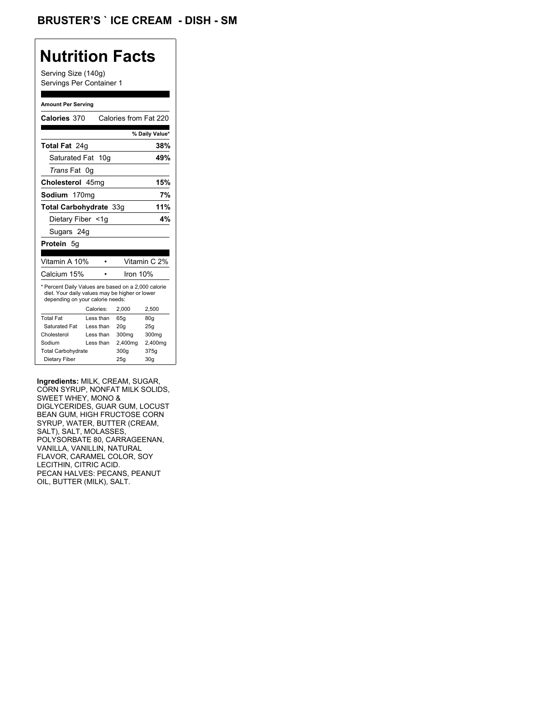## **Nutrition Facts**

Serving Size (140g) Servings Per Container 1

#### **Amount Per Serving**

| Calories 370                                                                                                                              |           | Calories from Fat 220 |                |
|-------------------------------------------------------------------------------------------------------------------------------------------|-----------|-----------------------|----------------|
|                                                                                                                                           |           |                       | % Daily Value* |
| Total Fat 24q                                                                                                                             |           |                       | 38%            |
| Saturated Fat 10g                                                                                                                         |           |                       | 49%            |
| Trans Fat 0q                                                                                                                              |           |                       |                |
| Cholesterol 45mg                                                                                                                          |           |                       | 15%            |
| Sodium 170mg                                                                                                                              |           |                       | 7%             |
| Total Carbohydrate 33g                                                                                                                    |           |                       | 11%            |
| Dietary Fiber <1g                                                                                                                         |           |                       | 4%             |
| Sugars 24g                                                                                                                                |           |                       |                |
| Protein 5q                                                                                                                                |           |                       |                |
| Vitamin A 10%                                                                                                                             |           |                       | Vitamin C 2%   |
|                                                                                                                                           |           |                       |                |
| Calcium 15%                                                                                                                               |           | Iron 10%              |                |
| * Percent Daily Values are based on a 2,000 calorie<br>diet. Your daily values may be higher or lower<br>depending on your calorie needs: |           |                       |                |
|                                                                                                                                           | Calories: | 2,000                 | 2,500          |
| <b>Total Fat</b>                                                                                                                          | Less than | 65q                   | 80q            |
| Saturated Fat                                                                                                                             | Less than | 20 <sub>g</sub>       | 25g            |
| Cholesterol                                                                                                                               | Less than | 300 <sub>mq</sub>     | 300mg          |
| Sodium                                                                                                                                    | Less than | 2,400mg               | 2,400mg        |
| <b>Total Carbohydrate</b>                                                                                                                 |           | 300q                  | 375g           |

**Ingredients:** MILK, CREAM, SUGAR, CORN SYRUP, NONFAT MILK SOLIDS, SWEET WHEY, MONO & DIGLYCERIDES, GUAR GUM, LOCUST BEAN GUM, HIGH FRUCTOSE CORN SYRUP, WATER, BUTTER (CREAM, SALT), SALT, MOLASSES, POLYSORBATE 80, CARRAGEENAN, VANILLA, VANILLIN, NATURAL FLAVOR, CARAMEL COLOR, SOY LECITHIN, CITRIC ACID. PECAN HALVES: PECANS, PEANUT OIL, BUTTER (MILK), SALT.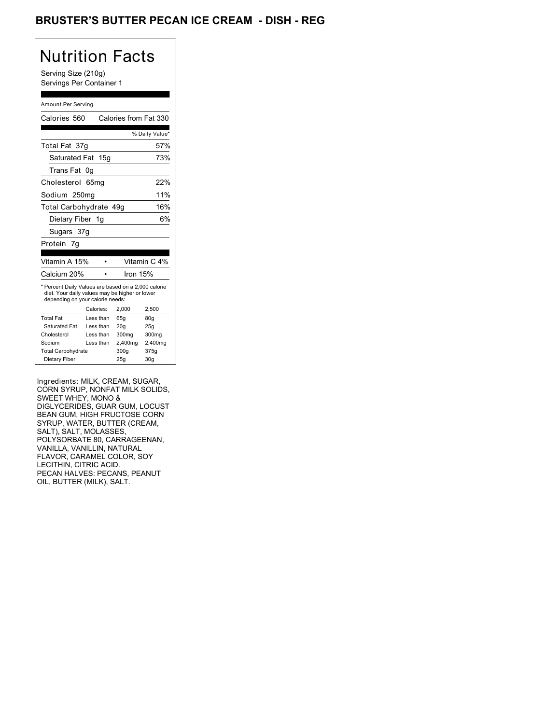## BRUSTER'S BUTTER PECAN ICE CREAM - DISH - REG

# Nutrition Facts

Serving Size (210g) Servings Per Container 1

#### Amount Per Serving

| Calories 560                                                                                                                              |                  |  |          | Calories from Fat 330 |
|-------------------------------------------------------------------------------------------------------------------------------------------|------------------|--|----------|-----------------------|
|                                                                                                                                           |                  |  |          | % Daily Value*        |
| Total Fat 37g                                                                                                                             |                  |  |          | 57%                   |
| Saturated Fat 15q                                                                                                                         |                  |  |          | 73%                   |
| Trans Fat                                                                                                                                 | 0q               |  |          |                       |
| Cholesterol                                                                                                                               | 65 <sub>mq</sub> |  |          | 22%                   |
| Sodium 250mg                                                                                                                              |                  |  |          | 11%                   |
| Total Carbohydrate 49g                                                                                                                    |                  |  |          | 16%                   |
| Dietary Fiber 1g                                                                                                                          |                  |  |          | 6%                    |
| Sugars 37g                                                                                                                                |                  |  |          |                       |
| Protein<br>7q                                                                                                                             |                  |  |          |                       |
| Vitamin A 15%                                                                                                                             |                  |  |          | Vitamin C 4%          |
| Calcium 20%                                                                                                                               |                  |  | Iron 15% |                       |
| * Percent Daily Values are based on a 2,000 calorie<br>diet. Your daily values may be higher or lower<br>depending on your calorie needs: |                  |  |          |                       |
|                                                                                                                                           |                  |  |          |                       |
|                                                                                                                                           | Calories:        |  | 2,000    | 2,500                 |
| <b>Total Fat</b>                                                                                                                          | Less than        |  | 65q      | 80q                   |
| Saturated Fat                                                                                                                             | Less than        |  | 20q      | 25q                   |
| Cholesterol                                                                                                                               | Less than        |  | 300mg    | 300mg                 |
| Sodium                                                                                                                                    | Less than        |  | 2,400mg  | 2,400mg               |
| <b>Total Carbohydrate</b>                                                                                                                 |                  |  | 300q     | 375g                  |

Ingredients: MILK, CREAM, SUGAR, CORN SYRUP, NONFAT MILK SOLIDS, SWEET WHEY, MONO & DIGLYCERIDES, GUAR GUM, LOCUST BEAN GUM, HIGH FRUCTOSE CORN SYRUP, WATER, BUTTER (CREAM, SALT), SALT, MOLASSES, POLYSORBATE 80, CARRAGEENAN, VANILLA, VANILLIN, NATURAL FLAVOR, CARAMEL COLOR, SOY LECITHIN, CITRIC ACID. PECAN HALVES: PECANS, PEANUT OIL, BUTTER (MILK), SALT.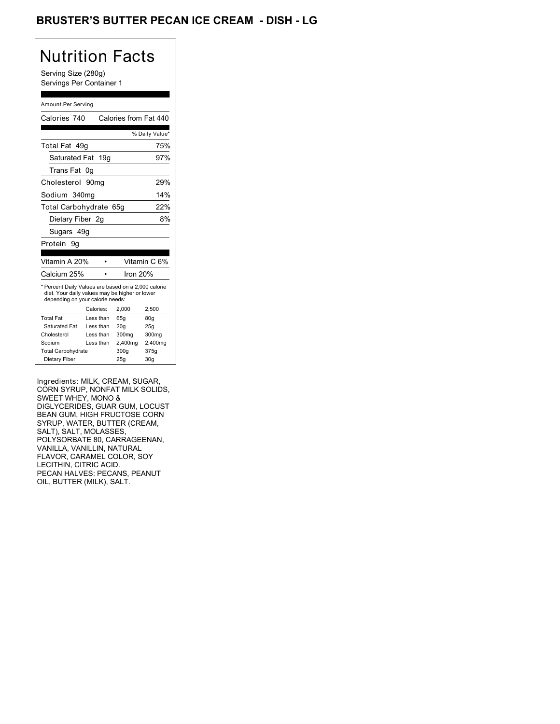## BRUSTER'S BUTTER PECAN ICE CREAM - DISH - LG

# Nutrition Facts

Serving Size (280g) Servings Per Container 1

#### Amount Per Serving

| Calories 740                                                                                                                              |                   | Calories from Fat 440 |                |
|-------------------------------------------------------------------------------------------------------------------------------------------|-------------------|-----------------------|----------------|
|                                                                                                                                           |                   |                       | % Daily Value* |
| Total Fat 49q                                                                                                                             |                   |                       | 75%            |
| Saturated Fat                                                                                                                             | 19g               |                       | 97%            |
| Trans Fat                                                                                                                                 | 0g                |                       |                |
| Cholesterol                                                                                                                               | 90mg              |                       | 29%            |
| Sodium                                                                                                                                    | 340 <sub>mq</sub> |                       | 14%            |
| Total Carbohydrate                                                                                                                        |                   | 65a                   | 22%            |
| Dietary Fiber 2g                                                                                                                          |                   |                       | 8%             |
| Sugars 49g                                                                                                                                |                   |                       |                |
| Protein<br>9q                                                                                                                             |                   |                       |                |
| Vitamin A 20%                                                                                                                             |                   |                       | Vitamin C 6%   |
|                                                                                                                                           |                   |                       |                |
| Calcium 25%                                                                                                                               |                   | Iron 20%              |                |
| * Percent Daily Values are based on a 2,000 calorie<br>diet. Your daily values may be higher or lower<br>depending on your calorie needs: |                   |                       |                |
|                                                                                                                                           | Calories:         | 2.000                 | 2,500          |
| <b>Total Fat</b>                                                                                                                          | Less than         | 65g                   | 80g            |
| Saturated Fat                                                                                                                             | Less than         | 20q                   | 25q            |
| Cholesterol                                                                                                                               | Less than         | 300 <sub>mq</sub>     | 300mg          |
| Sodium                                                                                                                                    | Less than         | 2,400mg               | 2,400mg        |
| <b>Total Carbohydrate</b>                                                                                                                 |                   | 300q                  | 375g           |

Ingredients: MILK, CREAM, SUGAR, CORN SYRUP, NONFAT MILK SOLIDS, SWEET WHEY, MONO & DIGLYCERIDES, GUAR GUM, LOCUST BEAN GUM, HIGH FRUCTOSE CORN SYRUP, WATER, BUTTER (CREAM, SALT), SALT, MOLASSES, POLYSORBATE 80, CARRAGEENAN, VANILLA, VANILLIN, NATURAL FLAVOR, CARAMEL COLOR, SOY LECITHIN, CITRIC ACID. PECAN HALVES: PECANS, PEANUT OIL, BUTTER (MILK), SALT.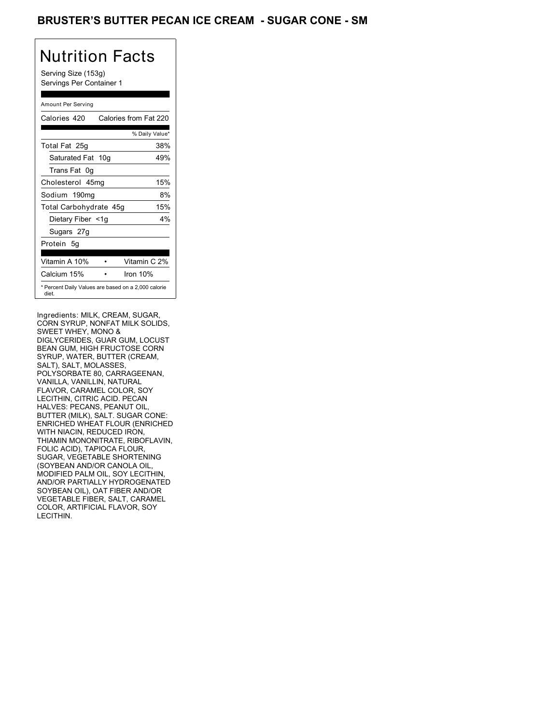## BRUSTER'S BUTTER PECAN ICE CREAM - SUGAR CONE - SM

# Nutrition Facts

Serving Size (153g) Servings Per Container 1

#### Amount Per Serving

| Calories 420                                                 | Calories from Fat 220 |
|--------------------------------------------------------------|-----------------------|
|                                                              | % Daily Value*        |
| Total Fat 25g                                                | 38%                   |
| Saturated Fat 10g                                            | 49%                   |
| Trans Fat 0q                                                 |                       |
| Cholesterol 45mg                                             | 15%                   |
| Sodium 190mg                                                 | 8%                    |
| Total Carbohydrate 45g                                       | 15%                   |
| Dietary Fiber <1g                                            | 4%                    |
| Sugars 27g                                                   |                       |
| Protein 5q                                                   |                       |
| Vitamin A 10%                                                | Vitamin C 2%          |
| Calcium 15%                                                  | Iron 10%              |
| * Percent Daily Values are based on a 2,000 calorie<br>diet. |                       |

Ingredients: MILK, CREAM, SUGAR, CORN SYRUP, NONFAT MILK SOLIDS, SWEET WHEY, MONO & DIGLYCERIDES, GUAR GUM, LOCUST BEAN GUM, HIGH FRUCTOSE CORN SYRUP, WATER, BUTTER (CREAM, SALT), SALT, MOLASSES, POLYSORBATE 80, CARRAGEENAN, VANILLA, VANILLIN, NATURAL FLAVOR, CARAMEL COLOR, SOY LECITHIN, CITRIC ACID. PECAN HALVES: PECANS, PEANUT OIL, BUTTER (MILK), SALT. SUGAR CONE: ENRICHED WHEAT FLOUR (ENRICHED WITH NIACIN, REDUCED IRON, THIAMIN MONONITRATE, RIBOFLAVIN, FOLIC ACID), TAPIOCA FLOUR, SUGAR, VEGETABLE SHORTENING (SOYBEAN AND/OR CANOLA OIL, MODIFIED PALM OIL, SOY LECITHIN, AND/OR PARTIALLY HYDROGENATED SOYBEAN OIL), OAT FIBER AND/OR VEGETABLE FIBER, SALT, CARAMEL COLOR, ARTIFICIAL FLAVOR, SOY LECITHIN.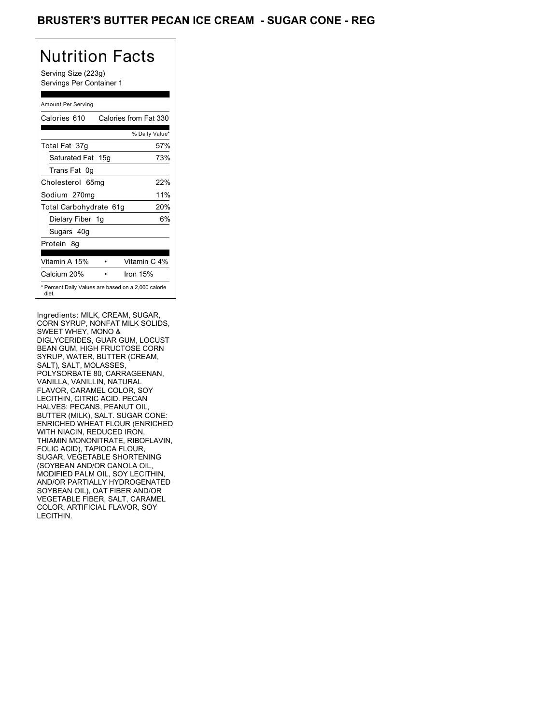## BRUSTER'S BUTTER PECAN ICE CREAM - SUGAR CONE - REG

# Nutrition Facts

Serving Size (223g) Servings Per Container 1

#### Amount Per Serving

| Calories 610                                                 | Calories from Fat 330 |
|--------------------------------------------------------------|-----------------------|
|                                                              | % Daily Value*        |
| Total Fat 37g                                                | 57%                   |
| Saturated Fat 15g                                            | 73%                   |
| Trans Fat 0q                                                 |                       |
| Cholesterol 65mg                                             | 22%                   |
| Sodium 270mg                                                 | 11%                   |
| Total Carbohydrate 61g                                       | 20%                   |
| Dietary Fiber 1g                                             | 6%                    |
| Sugars 40g                                                   |                       |
| Protein 8q                                                   |                       |
| Vitamin A 15%                                                | Vitamin C 4%          |
| Calcium 20%                                                  | Iron $15%$            |
| * Percent Daily Values are based on a 2,000 calorie<br>diet. |                       |

Ingredients: MILK, CREAM, SUGAR, CORN SYRUP, NONFAT MILK SOLIDS, SWEET WHEY, MONO & DIGLYCERIDES, GUAR GUM, LOCUST BEAN GUM, HIGH FRUCTOSE CORN SYRUP, WATER, BUTTER (CREAM, SALT), SALT, MOLASSES, POLYSORBATE 80, CARRAGEENAN, VANILLA, VANILLIN, NATURAL FLAVOR, CARAMEL COLOR, SOY LECITHIN, CITRIC ACID. PECAN HALVES: PECANS, PEANUT OIL, BUTTER (MILK), SALT. SUGAR CONE: ENRICHED WHEAT FLOUR (ENRICHED WITH NIACIN, REDUCED IRON, THIAMIN MONONITRATE, RIBOFLAVIN, FOLIC ACID), TAPIOCA FLOUR, SUGAR, VEGETABLE SHORTENING (SOYBEAN AND/OR CANOLA OIL, MODIFIED PALM OIL, SOY LECITHIN, AND/OR PARTIALLY HYDROGENATED SOYBEAN OIL), OAT FIBER AND/OR VEGETABLE FIBER, SALT, CARAMEL COLOR, ARTIFICIAL FLAVOR, SOY LECITHIN.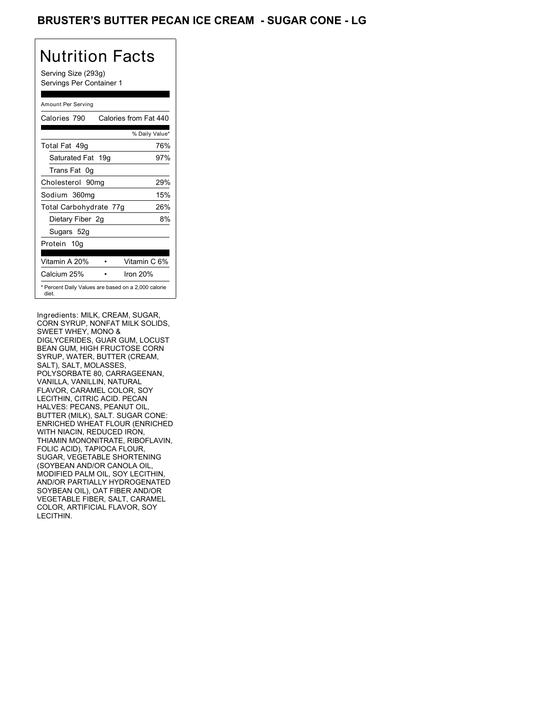## BRUSTER'S BUTTER PECAN ICE CREAM - SUGAR CONE - LG

# Nutrition Facts

Serving Size (293g) Servings Per Container 1

#### Amount Per Serving

| Calories 790           | Calories from Fat 440                               |
|------------------------|-----------------------------------------------------|
|                        | % Daily Value*                                      |
| Total Fat 49q          | 76%                                                 |
| Saturated Fat 19g      | 97%                                                 |
| Trans Fat 0q           |                                                     |
| Cholesterol 90mg       | 29%                                                 |
| Sodium 360mg           | 15%                                                 |
| Total Carbohydrate 77g | 26%                                                 |
| Dietary Fiber 2g       | 8%                                                  |
| Sugars 52g             |                                                     |
| Protein 10q            |                                                     |
|                        |                                                     |
| Vitamin A 20%          | Vitamin C 6%                                        |
| Calcium 25%            | Iron $20%$                                          |
| diet.                  | * Percent Daily Values are based on a 2,000 calorie |

Ingredients: MILK, CREAM, SUGAR, CORN SYRUP, NONFAT MILK SOLIDS, SWEET WHEY, MONO & DIGLYCERIDES, GUAR GUM, LOCUST BEAN GUM, HIGH FRUCTOSE CORN SYRUP, WATER, BUTTER (CREAM, SALT), SALT, MOLASSES, POLYSORBATE 80, CARRAGEENAN, VANILLA, VANILLIN, NATURAL FLAVOR, CARAMEL COLOR, SOY LECITHIN, CITRIC ACID. PECAN HALVES: PECANS, PEANUT OIL, BUTTER (MILK), SALT. SUGAR CONE: ENRICHED WHEAT FLOUR (ENRICHED WITH NIACIN, REDUCED IRON, THIAMIN MONONITRATE, RIBOFLAVIN, FOLIC ACID), TAPIOCA FLOUR, SUGAR, VEGETABLE SHORTENING (SOYBEAN AND/OR CANOLA OIL, MODIFIED PALM OIL, SOY LECITHIN, AND/OR PARTIALLY HYDROGENATED SOYBEAN OIL), OAT FIBER AND/OR VEGETABLE FIBER, SALT, CARAMEL COLOR, ARTIFICIAL FLAVOR, SOY LECITHIN.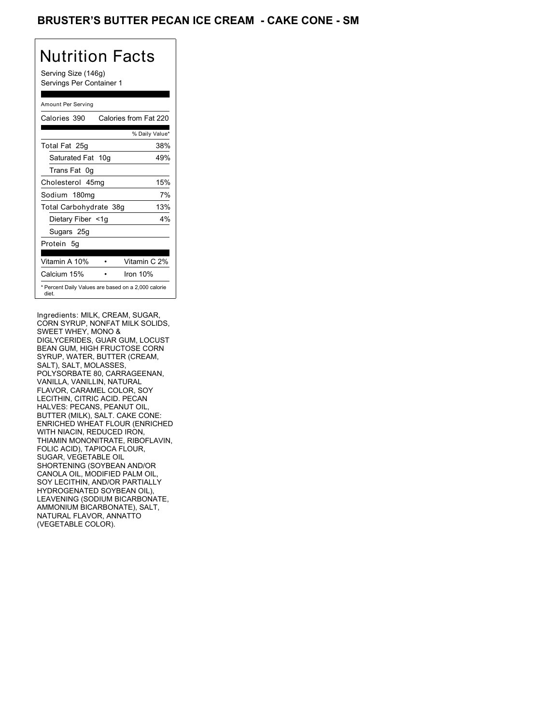## BRUSTER'S BUTTER PECAN ICE CREAM - CAKE CONE - SM

## Nutrition Facts

Serving Size (146g) Servings Per Container 1

#### Amount Per Serving

| Calories 390                                                 | Calories from Fat 220 |
|--------------------------------------------------------------|-----------------------|
|                                                              | % Daily Value*        |
| Total Fat 25g                                                | 38%                   |
| Saturated Fat 10g                                            | 49%                   |
| Trans Fat 0q                                                 |                       |
| Cholesterol 45mg                                             | 15%                   |
| Sodium 180mg                                                 | 7%                    |
| Total Carbohydrate 38g                                       | 13%                   |
| Dietary Fiber <1g                                            | $4\%$                 |
| Sugars 25g                                                   |                       |
| Protein 5q                                                   |                       |
| Vitamin A 10%                                                | Vitamin C 2%          |
| Calcium 15%                                                  | Iron $10%$            |
| * Percent Daily Values are based on a 2,000 calorie<br>diet. |                       |

Ingredients: MILK, CREAM, SUGAR, CORN SYRUP, NONFAT MILK SOLIDS, SWEET WHEY, MONO & DIGLYCERIDES, GUAR GUM, LOCUST BEAN GUM, HIGH FRUCTOSE CORN SYRUP, WATER, BUTTER (CREAM, SALT), SALT, MOLASSES, POLYSORBATE 80, CARRAGEENAN, VANILLA, VANILLIN, NATURAL FLAVOR, CARAMEL COLOR, SOY LECITHIN, CITRIC ACID. PECAN HALVES: PECANS, PEANUT OIL, BUTTER (MILK), SALT. CAKE CONE: ENRICHED WHEAT FLOUR (ENRICHED WITH NIACIN, REDUCED IRON, THIAMIN MONONITRATE, RIBOFLAVIN, FOLIC ACID), TAPIOCA FLOUR, SUGAR, VEGETABLE OIL SHORTENING (SOYBEAN AND/OR CANOLA OIL, MODIFIED PALM OIL, SOY LECITHIN, AND/OR PARTIALLY HYDROGENATED SOYBEAN OIL), LEAVENING (SODIUM BICARBONATE, AMMONIUM BICARBONATE), SALT, NATURAL FLAVOR, ANNATTO (VEGETABLE COLOR).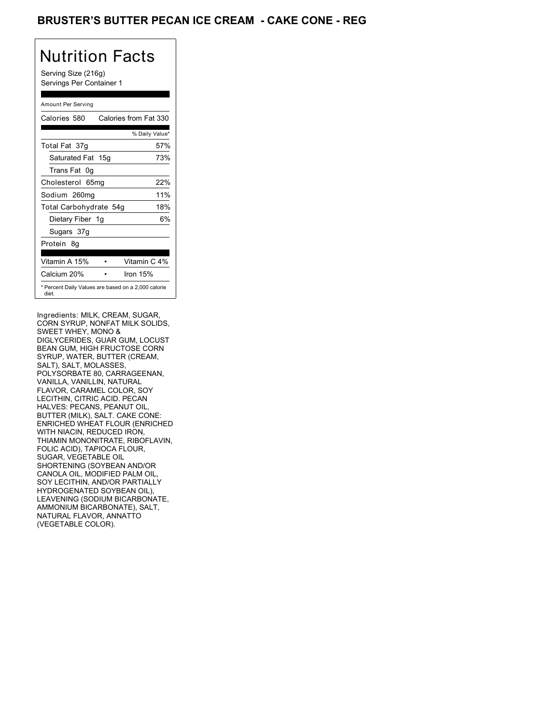## BRUSTER'S BUTTER PECAN ICE CREAM **- CAKE CONE - REG**

# Nutrition Facts

Serving Size (216g) Servings Per Container 1

#### Amount Per Serving

| Calories 580                                                 | Calories from Fat 330 |
|--------------------------------------------------------------|-----------------------|
|                                                              | % Daily Value*        |
| Total Fat 37g                                                | 57%                   |
| Saturated Fat 15g                                            | 73%                   |
| Trans Fat 0q                                                 |                       |
| Cholesterol 65mg                                             | 22%                   |
| Sodium 260mg                                                 | 11%                   |
| Total Carbohydrate 54g                                       | 18%                   |
| Dietary Fiber 1g                                             | 6%                    |
| Sugars 37g                                                   |                       |
| Protein 8q                                                   |                       |
| Vitamin A 15%                                                | Vitamin C 4%          |
| Calcium 20%                                                  | Iron $15%$            |
| * Percent Daily Values are based on a 2,000 calorie<br>diet. |                       |

Ingredients: MILK, CREAM, SUGAR, CORN SYRUP, NONFAT MILK SOLIDS, SWEET WHEY, MONO & DIGLYCERIDES, GUAR GUM, LOCUST BEAN GUM, HIGH FRUCTOSE CORN SYRUP, WATER, BUTTER (CREAM, SALT), SALT, MOLASSES, POLYSORBATE 80, CARRAGEENAN, VANILLA, VANILLIN, NATURAL FLAVOR, CARAMEL COLOR, SOY LECITHIN, CITRIC ACID. PECAN HALVES: PECANS, PEANUT OIL, BUTTER (MILK), SALT. CAKE CONE: ENRICHED WHEAT FLOUR (ENRICHED WITH NIACIN, REDUCED IRON, THIAMIN MONONITRATE, RIBOFLAVIN, FOLIC ACID), TAPIOCA FLOUR, SUGAR, VEGETABLE OIL SHORTENING (SOYBEAN AND/OR CANOLA OIL, MODIFIED PALM OIL, SOY LECITHIN, AND/OR PARTIALLY HYDROGENATED SOYBEAN OIL), LEAVENING (SODIUM BICARBONATE, AMMONIUM BICARBONATE), SALT, NATURAL FLAVOR, ANNATTO (VEGETABLE COLOR).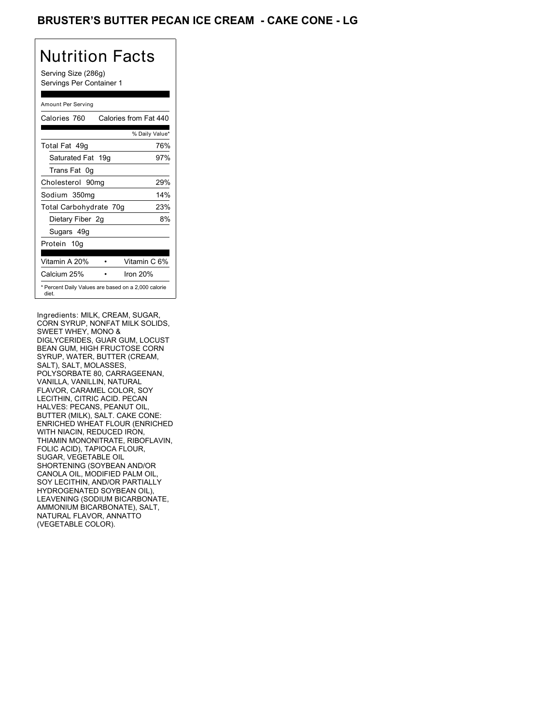## BRUSTER'S BUTTER PECAN ICE CREAM - CAKE CONE - LG

# Nutrition Facts

Serving Size (286g) Servings Per Container 1

#### Amount Per Serving

| Calories 760           | Calories from Fat 440                               |
|------------------------|-----------------------------------------------------|
|                        | % Daily Value*                                      |
| Total Fat 49g          | 76%                                                 |
| Saturated Fat 19g      | 97%                                                 |
| Trans Fat 0q           |                                                     |
| Cholesterol 90mg       | 29%                                                 |
| Sodium 350mg           | 14%                                                 |
| Total Carbohydrate 70g | 23%                                                 |
| Dietary Fiber 2g       | 8%                                                  |
| Sugars 49g             |                                                     |
| Protein 10g            |                                                     |
| Vitamin A 20%          | Vitamin C 6%                                        |
| Calcium 25%            | Iron $20%$                                          |
| diet.                  | * Percent Daily Values are based on a 2,000 calorie |

Ingredients: MILK, CREAM, SUGAR, CORN SYRUP, NONFAT MILK SOLIDS, SWEET WHEY, MONO & DIGLYCERIDES, GUAR GUM, LOCUST BEAN GUM, HIGH FRUCTOSE CORN SYRUP, WATER, BUTTER (CREAM, SALT), SALT, MOLASSES, POLYSORBATE 80, CARRAGEENAN, VANILLA, VANILLIN, NATURAL FLAVOR, CARAMEL COLOR, SOY LECITHIN, CITRIC ACID. PECAN HALVES: PECANS, PEANUT OIL, BUTTER (MILK), SALT. CAKE CONE: ENRICHED WHEAT FLOUR (ENRICHED WITH NIACIN, REDUCED IRON, THIAMIN MONONITRATE, RIBOFLAVIN, FOLIC ACID), TAPIOCA FLOUR, SUGAR, VEGETABLE OIL SHORTENING (SOYBEAN AND/OR CANOLA OIL, MODIFIED PALM OIL, SOY LECITHIN, AND/OR PARTIALLY HYDROGENATED SOYBEAN OIL), LEAVENING (SODIUM BICARBONATE, AMMONIUM BICARBONATE), SALT, NATURAL FLAVOR, ANNATTO (VEGETABLE COLOR).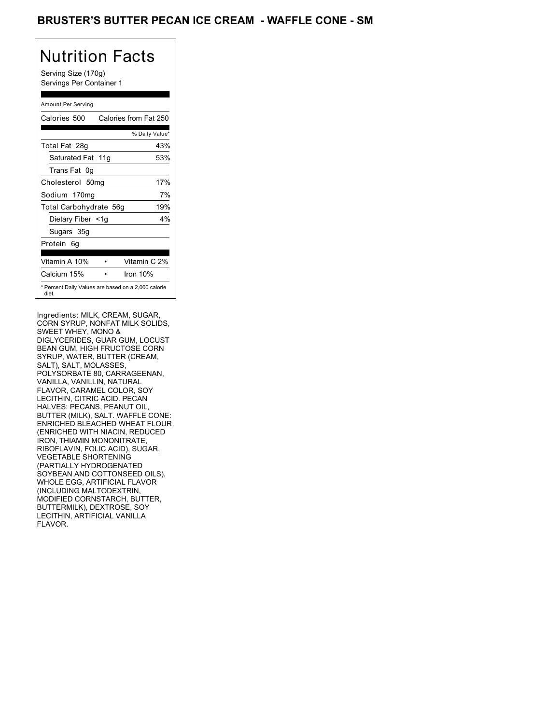## BRUSTER'S BUTTER PECAN ICE CREAM - WAFFLE CONE - SM

# Nutrition Facts

Serving Size (170g) Servings Per Container 1

#### Amount Per Serving

| Calories 500                                                 | Calories from Fat 250 |
|--------------------------------------------------------------|-----------------------|
|                                                              | % Daily Value*        |
| Total Fat 28g                                                | 43%                   |
| Saturated Fat 11g                                            | 53%                   |
| Trans Fat 0q                                                 |                       |
| Cholesterol 50mg                                             | 17%                   |
| Sodium 170mg                                                 | 7%                    |
| Total Carbohydrate 56g                                       | 19%                   |
| Dietary Fiber <1g                                            | $4\%$                 |
| Sugars 35g                                                   |                       |
| Protein 6q                                                   |                       |
| Vitamin A 10%                                                | Vitamin C 2%          |
| Calcium 15%                                                  | Iron $10%$            |
| * Percent Daily Values are based on a 2,000 calorie<br>diet. |                       |

Ingredients: MILK, CREAM, SUGAR, CORN SYRUP, NONFAT MILK SOLIDS, SWEET WHEY, MONO & DIGLYCERIDES, GUAR GUM, LOCUST BEAN GUM, HIGH FRUCTOSE CORN SYRUP, WATER, BUTTER (CREAM, SALT), SALT, MOLASSES, POLYSORBATE 80, CARRAGEENAN, VANILLA, VANILLIN, NATURAL FLAVOR, CARAMEL COLOR, SOY LECITHIN, CITRIC ACID. PECAN HALVES: PECANS, PEANUT OIL, BUTTER (MILK), SALT. WAFFLE CONE: ENRICHED BLEACHED WHEAT FLOUR (ENRICHED WITH NIACIN, REDUCED IRON, THIAMIN MONONITRATE, RIBOFLAVIN, FOLIC ACID), SUGAR, VEGETABLE SHORTENING (PARTIALLY HYDROGENATED SOYBEAN AND COTTONSEED OILS), WHOLE EGG, ARTIFICIAL FLAVOR (INCLUDING MALTODEXTRIN, MODIFIED CORNSTARCH, BUTTER, BUTTERMILK), DEXTROSE, SOY LECITHIN, ARTIFICIAL VANILLA FLAVOR.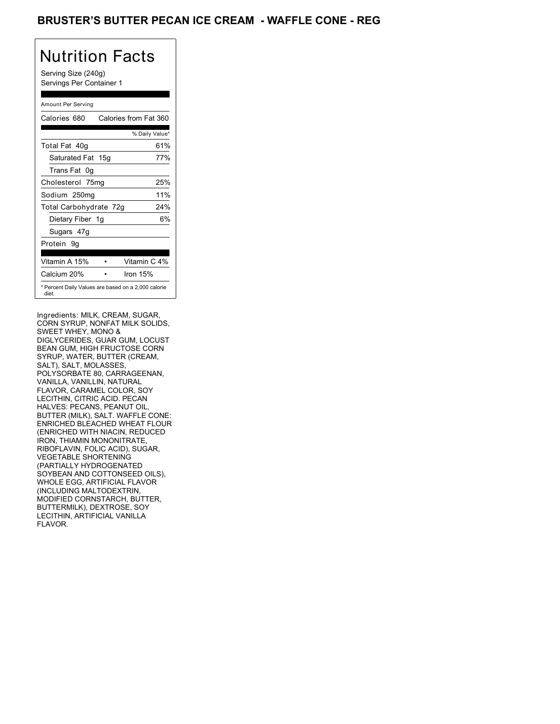## BRUSTER'S BUTTER PECAN ICE CREAM - WAFFLE CONE - REG

# Nutrition Facts

Serving Size (240g) Servings Per Container 1

#### Amount Per Serving

| Calories 680           | Calories from Fat 360                               |
|------------------------|-----------------------------------------------------|
|                        | % Daily Value*                                      |
| Total Fat 40g          | 61%                                                 |
| Saturated Fat 15g      | 77%                                                 |
| Trans Fat 0q           |                                                     |
| Cholesterol 75mg       | 25%                                                 |
| Sodium 250mg           | 11%                                                 |
| Total Carbohydrate 72g | 24%                                                 |
| Dietary Fiber 1g       | 6%                                                  |
| Sugars 47g             |                                                     |
| Protein 9q             |                                                     |
| Vitamin A 15%          | Vitamin C 4%                                        |
| Calcium 20%            | Iron $15%$                                          |
| diet.                  | * Percent Daily Values are based on a 2,000 calorie |

Ingredients: MILK, CREAM, SUGAR, CORN SYRUP, NONFAT MILK SOLIDS, SWEET WHEY, MONO & DIGLYCERIDES, GUAR GUM, LOCUST BEAN GUM, HIGH FRUCTOSE CORN SYRUP, WATER, BUTTER (CREAM, SALT), SALT, MOLASSES, POLYSORBATE 80, CARRAGEENAN, VANILLA, VANILLIN, NATURAL FLAVOR, CARAMEL COLOR, SOY LECITHIN, CITRIC ACID. PECAN HALVES: PECANS, PEANUT OIL, BUTTER (MILK), SALT. WAFFLE CONE: ENRICHED BLEACHED WHEAT FLOUR (ENRICHED WITH NIACIN, REDUCED IRON, THIAMIN MONONITRATE, RIBOFLAVIN, FOLIC ACID), SUGAR, VEGETABLE SHORTENING (PARTIALLY HYDROGENATED SOYBEAN AND COTTONSEED OILS), WHOLE EGG, ARTIFICIAL FLAVOR (INCLUDING MALTODEXTRIN, MODIFIED CORNSTARCH, BUTTER, BUTTERMILK), DEXTROSE, SOY LECITHIN, ARTIFICIAL VANILLA FLAVOR.